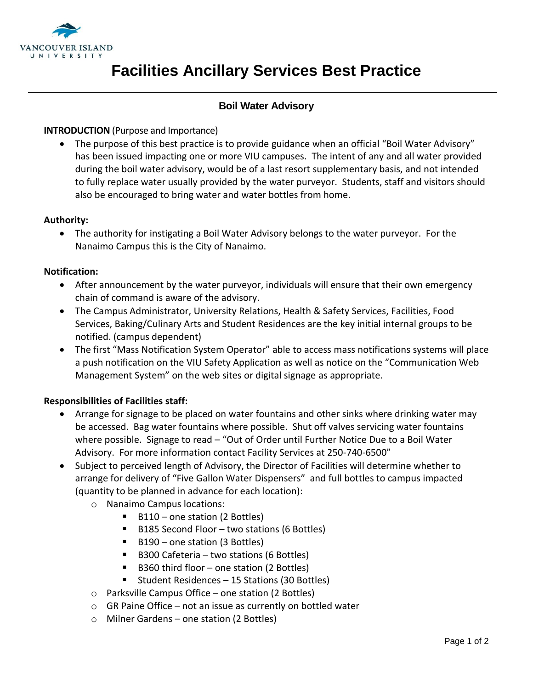

# **Facilities Ancillary Services Best Practice**

# **Boil Water Advisory**

### **INTRODUCTION** (Purpose and Importance)

• The purpose of this best practice is to provide guidance when an official "Boil Water Advisory" has been issued impacting one or more VIU campuses. The intent of any and all water provided during the boil water advisory, would be of a last resort supplementary basis, and not intended to fully replace water usually provided by the water purveyor. Students, staff and visitors should also be encouraged to bring water and water bottles from home.

#### **Authority:**

 The authority for instigating a Boil Water Advisory belongs to the water purveyor. For the Nanaimo Campus this is the City of Nanaimo.

#### **Notification:**

- After announcement by the water purveyor, individuals will ensure that their own emergency chain of command is aware of the advisory.
- The Campus Administrator, University Relations, Health & Safety Services, Facilities, Food Services, Baking/Culinary Arts and Student Residences are the key initial internal groups to be notified. (campus dependent)
- The first "Mass Notification System Operator" able to access mass notifications systems will place a push notification on the VIU Safety Application as well as notice on the "Communication Web Management System" on the web sites or digital signage as appropriate.

# **Responsibilities of Facilities staff:**

- Arrange for signage to be placed on water fountains and other sinks where drinking water may be accessed. Bag water fountains where possible. Shut off valves servicing water fountains where possible. Signage to read - "Out of Order until Further Notice Due to a Boil Water Advisory. For more information contact Facility Services at 250-740-6500"
- Subject to perceived length of Advisory, the Director of Facilities will determine whether to arrange for delivery of "Five Gallon Water Dispensers" and full bottles to campus impacted (quantity to be planned in advance for each location):
	- o Nanaimo Campus locations:
		- B110 one station (2 Bottles)
		- B185 Second Floor two stations (6 Bottles)
		- B190 one station (3 Bottles)
		- $\blacksquare$  B300 Cafeteria two stations (6 Bottles)
		- B360 third floor one station (2 Bottles)
		- Student Residences 15 Stations (30 Bottles)
	- o Parksville Campus Office one station (2 Bottles)
	- $\circ$  GR Paine Office not an issue as currently on bottled water
	- o Milner Gardens one station (2 Bottles)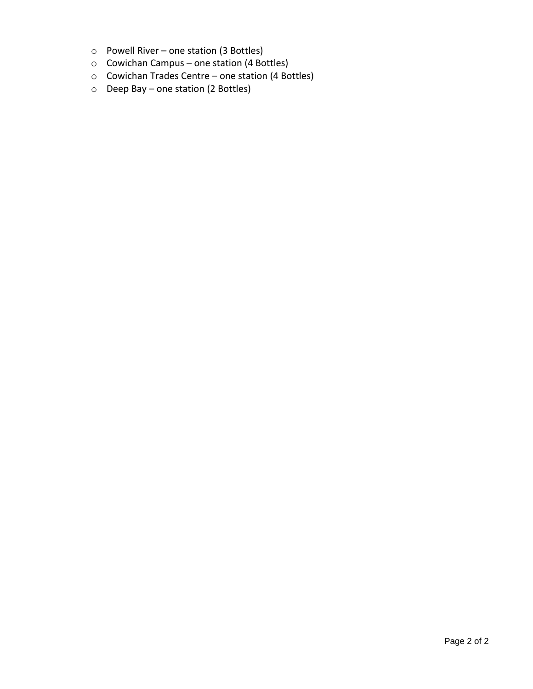- o Powell River one station (3 Bottles)
- o Cowichan Campus one station (4 Bottles)
- o Cowichan Trades Centre one station (4 Bottles)
- o Deep Bay one station (2 Bottles)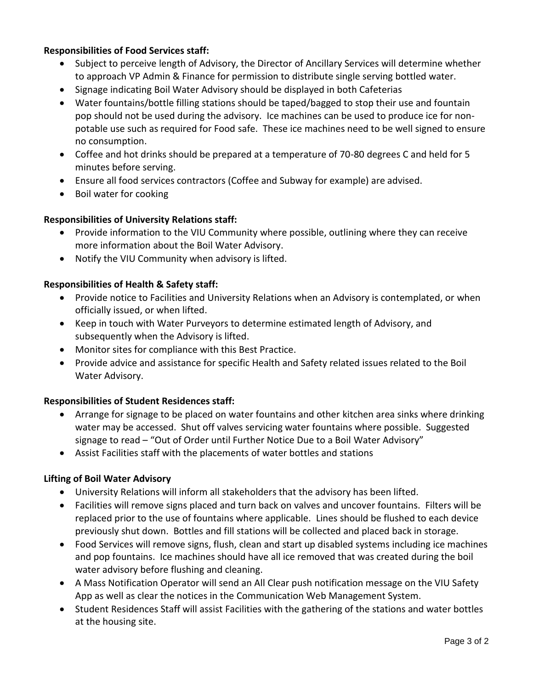# **Responsibilities of Food Services staff:**

- Subject to perceive length of Advisory, the Director of Ancillary Services will determine whether to approach VP Admin & Finance for permission to distribute single serving bottled water.
- Signage indicating Boil Water Advisory should be displayed in both Cafeterias
- Water fountains/bottle filling stations should be taped/bagged to stop their use and fountain pop should not be used during the advisory. Ice machines can be used to produce ice for nonpotable use such as required for Food safe. These ice machines need to be well signed to ensure no consumption.
- Coffee and hot drinks should be prepared at a temperature of 70-80 degrees C and held for 5 minutes before serving.
- Ensure all food services contractors (Coffee and Subway for example) are advised.
- Boil water for cooking

# **Responsibilities of University Relations staff:**

- Provide information to the VIU Community where possible, outlining where they can receive more information about the Boil Water Advisory.
- Notify the VIU Community when advisory is lifted.

# **Responsibilities of Health & Safety staff:**

- Provide notice to Facilities and University Relations when an Advisory is contemplated, or when officially issued, or when lifted.
- Keep in touch with Water Purveyors to determine estimated length of Advisory, and subsequently when the Advisory is lifted.
- Monitor sites for compliance with this Best Practice.
- Provide advice and assistance for specific Health and Safety related issues related to the Boil Water Advisory.

# **Responsibilities of Student Residences staff:**

- Arrange for signage to be placed on water fountains and other kitchen area sinks where drinking water may be accessed. Shut off valves servicing water fountains where possible. Suggested signage to read – "Out of Order until Further Notice Due to a Boil Water Advisory"
- Assist Facilities staff with the placements of water bottles and stations

# **Lifting of Boil Water Advisory**

- University Relations will inform all stakeholders that the advisory has been lifted.
- Facilities will remove signs placed and turn back on valves and uncover fountains. Filters will be replaced prior to the use of fountains where applicable. Lines should be flushed to each device previously shut down. Bottles and fill stations will be collected and placed back in storage.
- Food Services will remove signs, flush, clean and start up disabled systems including ice machines and pop fountains. Ice machines should have all ice removed that was created during the boil water advisory before flushing and cleaning.
- A Mass Notification Operator will send an All Clear push notification message on the VIU Safety App as well as clear the notices in the Communication Web Management System.
- Student Residences Staff will assist Facilities with the gathering of the stations and water bottles at the housing site.